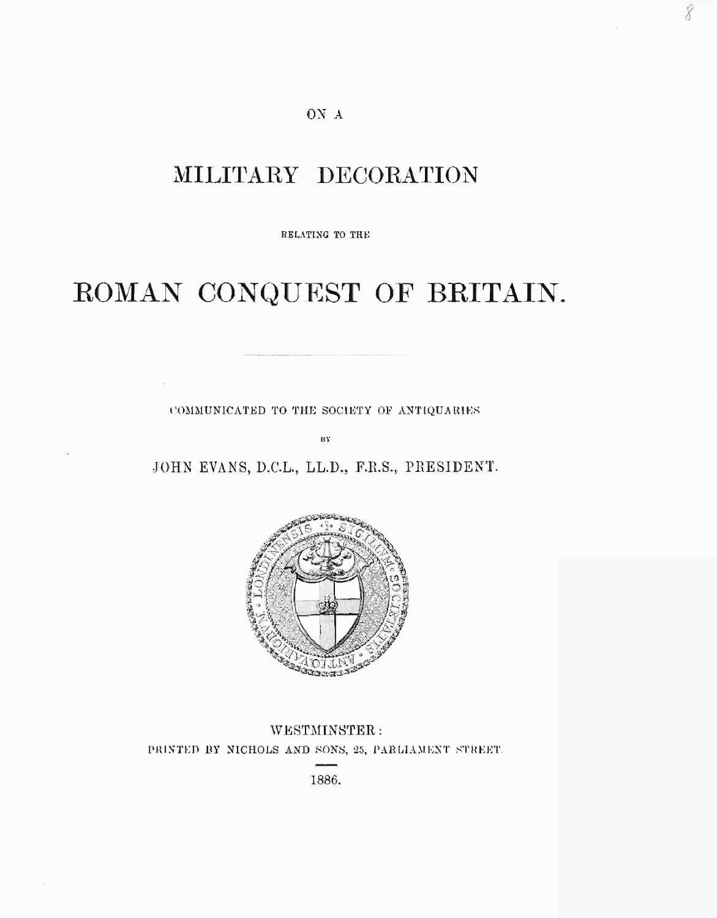#### ON A

8

## MILITARY DECORATION

RELATING TO THE

# ROMAN CONQUEST OF BRITAIN.

COMMUNICATED TO THE SOCIETY OF ANTIQUARIES

BY

JOHN EVANS, D.C.L., LL.D., F.R.S., PRESIDENT.



WESTMINSTER : PRINTED BY NICHOLS AND SONS, 25, PARLIAMENT STREET.

1886.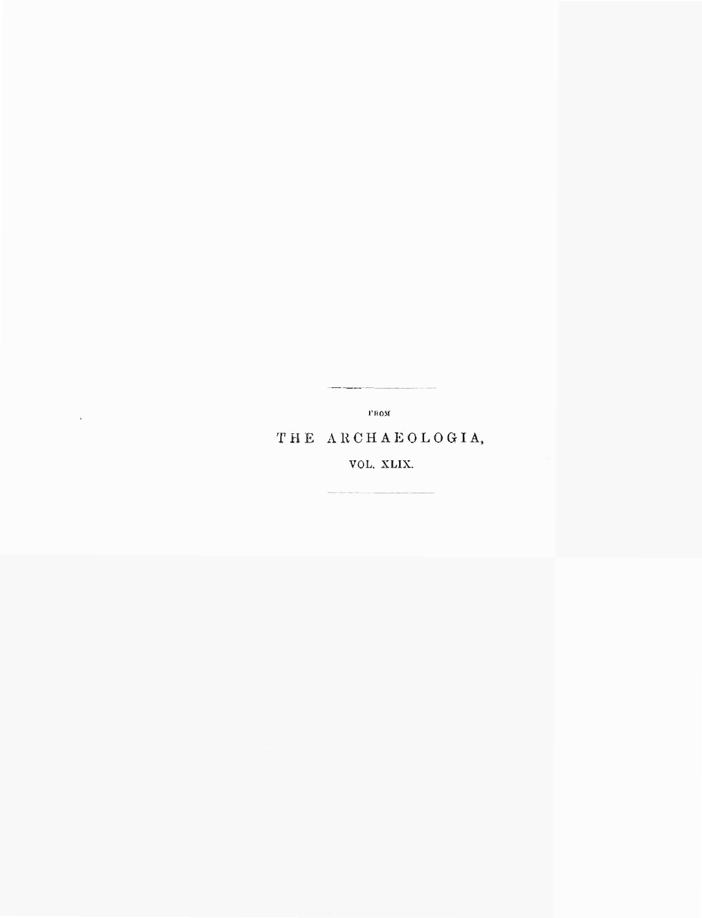FROM

### THE ARCHAEOLOGIA,

VOL. XLIX.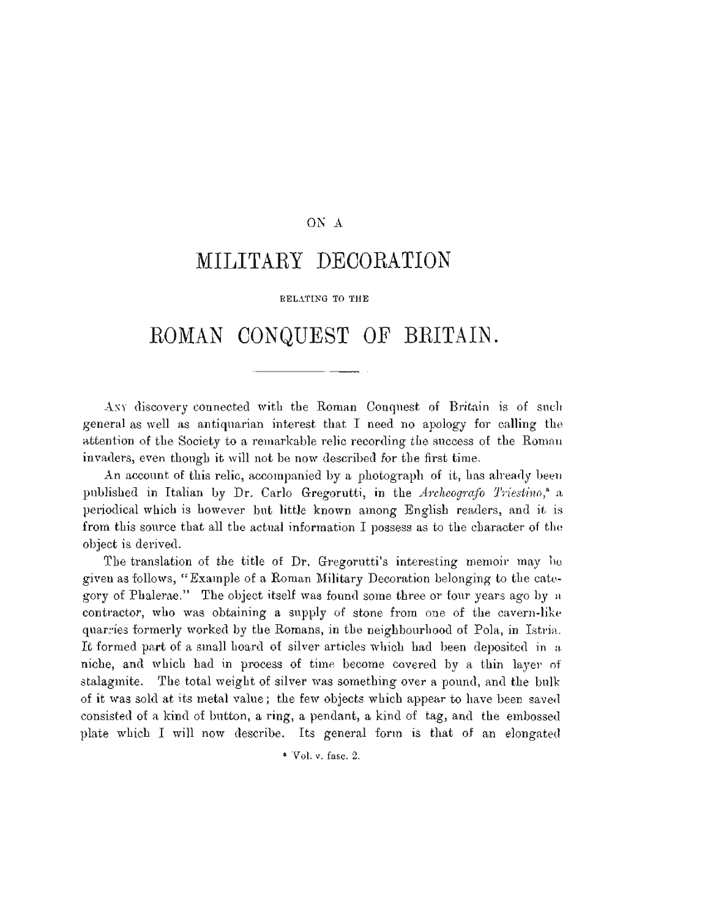#### ON A

### MILITARY DECORATION

#### RELATING TO THE

### ROMAN CONQUEST OF BRITAIN.

ANY discovery connected with the Roman Conquest of Britain is of such general as well as antiquarian interest that I need no apology for calling the attention of the Society to a remarkable relic recording the success of the Roman invaders, even though it will not be now described for the first time.

An account of this relic, accompanied by a photograph of it, has already been published in Italian by Dr. Carlo Gregorutti, in the *Archeografo Triestino*, a a periodical which is however but little known among English readers, and it is from this source that all the actual information I possess as to the character of the object is derived.

The translation of the title of Dr. Gregorutti's interesting memoir may be given as follows, "Example of a Roman Military Decoration belonging to the category of Phalerae." The object itself was found some three or four years ago by a contractor, who was obtaining a supply of stone from one of the cavern-like quarries formerly worked by the Romans, in the neighbourhood of Pola, in Istria. It formed part of a small hoard of silver articles which had been deposited in a niche, and which had in process of time become covered by a thin layer of stalagmite. The total weight of silver was something over a pound, and the bulk of it was sold at its metal value; the few objects which appear to have been saved consisted of a kind of button, a ring, a pendant, a kind of tag, and the embossed plate which I will now describe. Its general form is that of an elongated

 $\bullet$  Vol. v. fasc. 2.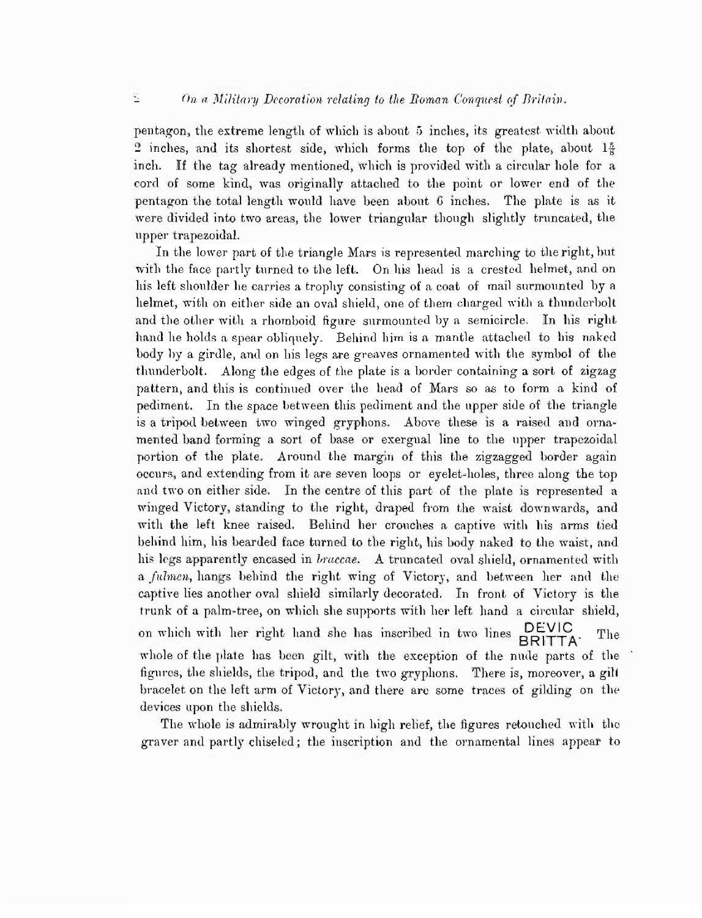pentagon, the extreme length of which is about 5 inches, its greatest width about 2 inches, and its shortest side, which forms the top of the plate, about  $1\frac{5}{8}$ inch. If the tag already mentioned, which is provided with a circular hole for a cord of some kind, was originally attached to the point or lower end of the pentagon the total length would have been about 6 inches. The plate is as it were divided into two areas, the lower triangular though slightly truncated, the upper trapezoidal.

In the lower part of the triangle Mars is represented marching to the right, but with the face partly turned to the left. On his head is a crested helmet, and on his left shoulder he carries a trophy consisting of a coat of mail surmounted by a helmet, with on either side an oval shield, one of them charged with a thunderbolt and the other with a rhomboid figure surmounted by a semicircle. In his right hand he holds a spear obliquely. Behind him is a mantle attached to his naked body by a girdle, and on his legs are greaves ornamented with the symbol of the thunderbolt. Along the edges of the plate is a border containing a sort of zigzag pattern, and this is continued over the head of Mars so as to form a kind of pediment. In the space between this pediment and the upper side of the triangle is a tripod between two winged gryphons. Above these is a raised and ornamented band forming a sort of base or exergual line to the upper trapezoidal portion of the plate. Around the margin of this the zigzagged border again occurs, and extending from it are seven loops or eyelet-holes, three along the top and two on either side. In the centre of this part of the plate is represented a winged Victory, standing to the right, draped from the waist downwards, and with the left knee raised. Behind her crouches a captive with his arms tied behind him, his bearded face turned to the right, his body naked to the waist, and his legs apparently encased in *braccae.* A truncated oval shield, ornamented with a *fulmen,* hangs behind the right wing of Victory, and between her and the captive lies another oval shield similarly decorated. In front of Victory is the trunk of a palm-tree, on which she supports with her left hand a circular shield, on which with her right hand she has inscribed in two lines **BRITTA** The whole of the plate has been gilt, with the exception of the nude parts of the figures, the shields, the tripod, and the two gryphons. There is, moreover, a gilt bracelet on the left arm of Victory, and there are some traces of gilding on the devices upon the shields.

The whole is admirably wrought in high relief, the figures retouched with the graver and partly chiseled; the inscription and the ornamental lines appear to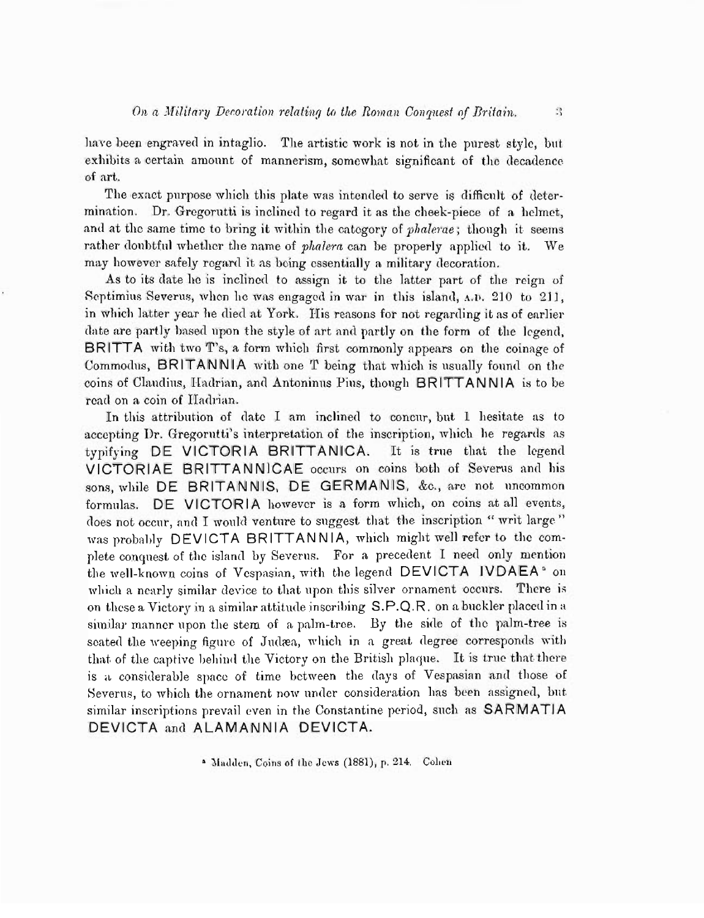liave been engraved in intaglio. Tlie artistic work is not in the purest style, but exhibits a certain amount of mannerism, somewhat significant of the decadence of art.

The exact purpose which this plate was intended to serve is difficult of determination. Dr. Gregorutti is inclined to regard it as the cheek-piece of a helmet, and at the same time to bring it within the category of *phalerae;* though it seems rather doubtful whether the name of *phalera* can be properly applied to it. We may however safely regard it as being essentially a military decoration.

As to its date ho is inclined to assign it to the latter part of the reign of Septimius Severus, when he was engaged in war in this island, A.D. 210 to 211, in which latter year he died at York. His reasons for not regarding it as of earlier date are partly based upon the style of art and partly on the form of the legend, **BRITT A** with two T's, a form which first commonly appears on the coinage of Commodus, **BRITANNIA** with one T being that which is usually found on the coins of Claudius, Hadrian, and Antoninus Pius, though BRITTANNIA is to be read on a coin of Hadrian.

In this attribution of date I am inclined to concur, but I hesitate as to accepting Dr. Gregorutti's interpretation of the inscription, which he regards as typifying **DE VICTORI A BRITTANICA .** It is true that the legend **VICTORIA E BRITTA N ΝICAE** occurs on coins both of Severus and his sons, while **DE BRITANNIS , DE GERMANIS ,** &c., are not uncommon formulas. DE VICTORIA however is a form which, on coins at all events, does not occur, and I would venture to suggest that the inscription " writ large " was probably DEVICTA BRITTANNIA, which might well refer to the complete conquest of the island by Severus. For a precedent I need only mention the well-known coins of Vespasian, with the legend **DEVICTA** IVDAEA<sup>°</sup> on which a nearly similar device to that upon this silver ornament occurs. There is on these a Victory in a similar attitude inscribing **S. P.Q. R**. on a buckler placed in a similar manner upon the stem of a palm-tree. By the side of the palm-tree is seated the weeping figure of Judæa, which in a great degree corresponds with that of the captive behind the Victory on the British plaque. It is true that there is a considerable space of time between the days of Vespasian and those of Severus, to which the ornament now under consideration has been assigned, but similar inscriptions prevail even in the Constantine period, such as **SARMATI A DEVICTA and ALAMANNIA DEVICTA.** 

a Madden, Coins of the Jews (1881), p. 214. Cohen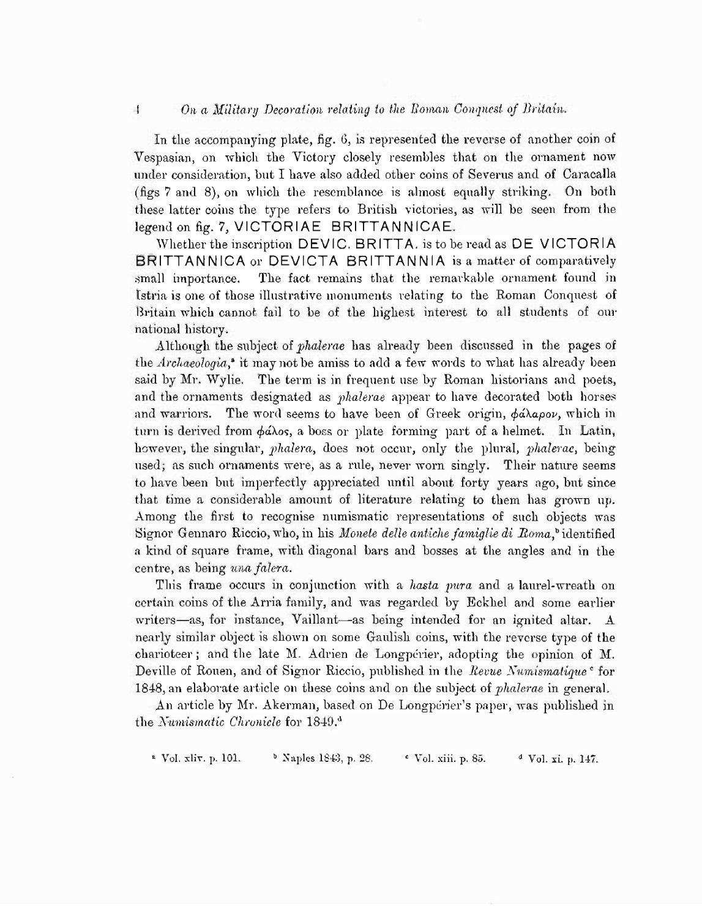#### *- On a Military Decoration relating to the Roman Conquest of Britain.*

In the accompanying plate, fig. 6, is represented the reverse of another coin of Vespasian, on which the Victory closely resembles that on the ornament now under consideration, but I have also added other coins of Severus and of Caracalla (figs 7 and 8), on which the resemblance is almost equally striking. On both these latter coins the type refers to British victories, as will be seen from the legend on fig. 7, VICTORIAE BRITTANNICAE.

Whether the inscription **DEVIC . BR IT T A.** is to be read as **D E VICTORI A BRITTANNIC A** or **DEVICT A BRITTANNI A** is a matter of comparatively small importance. The fact remains that the remarkable ornament found in Istria is one of those illustrative monuments relating to the Roman Conquest of Britain which cannot fail to be of the highest interest to all students of our national history.

Although the subject of *plialerae* has already been discussed in the pages of the *Archaeologia*,\* it may not be amiss to add a few words to what has already been said by Mr. Wylie. The term is in frequent use by Roman historians and poets, and the ornaments designated as *plialerae* appear to have decorated both horses and warriors. The word seems to have been of Greek origin, *φάλαpov,* which in turn is derived from *φάλος,* a boss or plate forming part of a helmet. In Latin, however, the singular, *phalera,* does not occur, only the plural, *plialerae,* being used; as such ornaments were, as a rule, never worn singly. Their nature seems to have been but imperfectly appreciated until about forty years ago, but since that time a considerable amount of literature relating to them has grown up. Among the first to recognise numismatic representations of such objects was Signor Gennaro Riccio, who, in his *Monete delle antiche famiglie di Homa,b* identified a kind of square frame, with diagonal bars and bosses at the angles and in the centre, as being *una falera.* 

This frame occurs in conjunction with a *hasta pura* and a laurel-wreath on certain coins of the Arria family, and was regarded by Eckhel and some earlier writers—as, for instance, Vaillant—as being intended for an ignited altar. A nearly similar object is shown on some Gaulish coins, with the reverse type of the charioteer; and the late M. Adrien de Longperier, adopting the opinion of M. Deville of Rouen, and of Signor Riccio, published in the *Revue Numismatique* of for 1848, an elaborate article on these coins and on the subject of *plialerae* in general.

An article by Mr. Akerman, based on De Longperier's paper, was published in the *Numismatic Chronicle* for 1849.d

 $\sim$  Vol. xliv. p. 101.  $\sim$  Naples 1843, p. 28. Vol. xiii. p. 85. d Vol. xi. p. 147.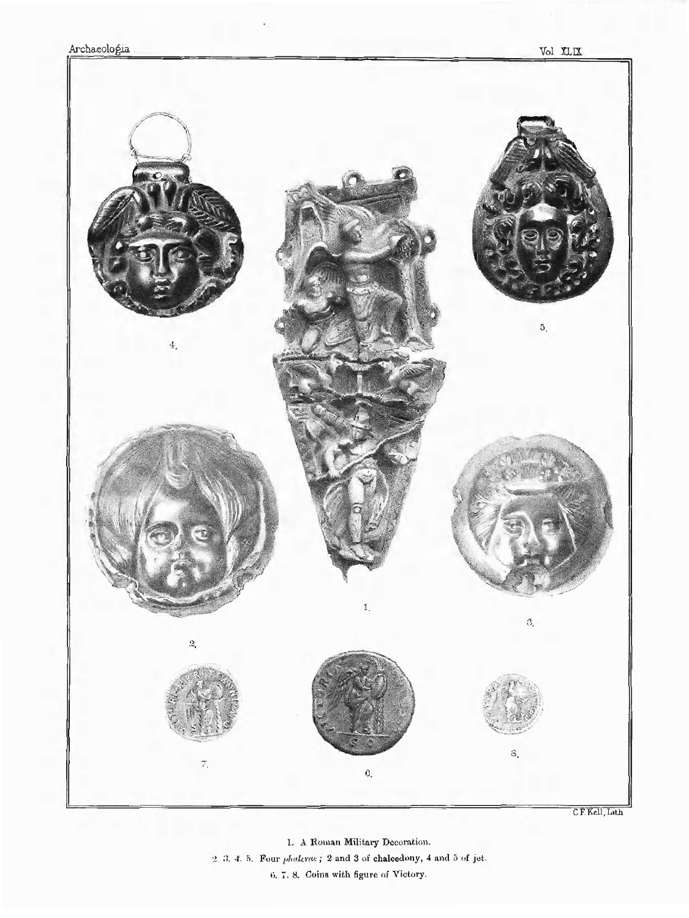

1. A Roman Military Decoration.

2. 3. 4. 5. Four phalerae; 2 and 3 of chalcedony, 4 and 5 of jet.

6. 7. 8. Coins with figure of Victory.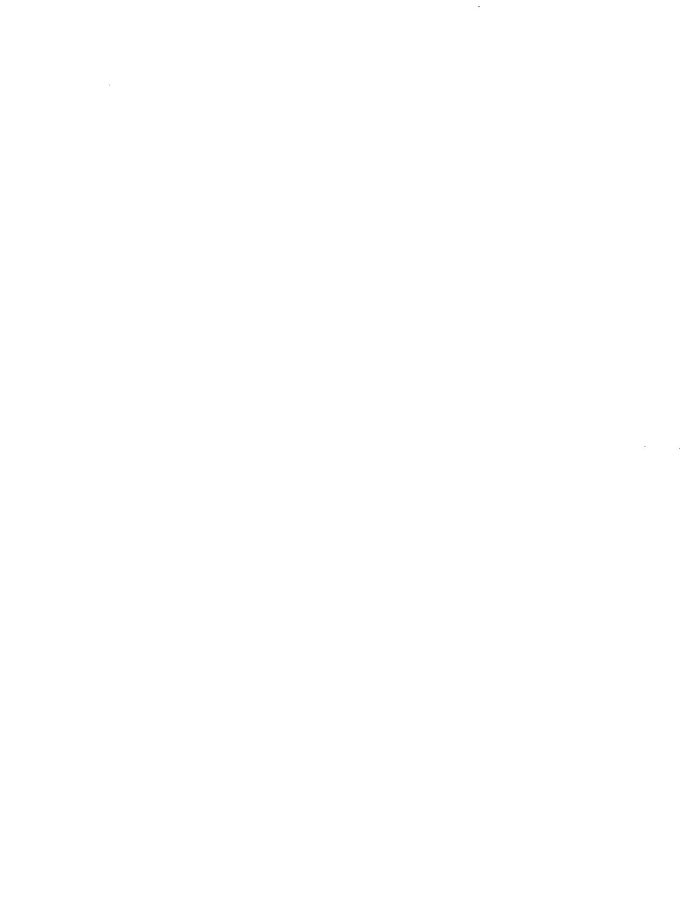$\sim$   $\sim$  $\label{eq:2} \frac{1}{\sqrt{2}}\left(\frac{1}{\sqrt{2}}\right)^2\left(\frac{1}{\sqrt{2}}\right)^2\left(\frac{1}{\sqrt{2}}\right)^2.$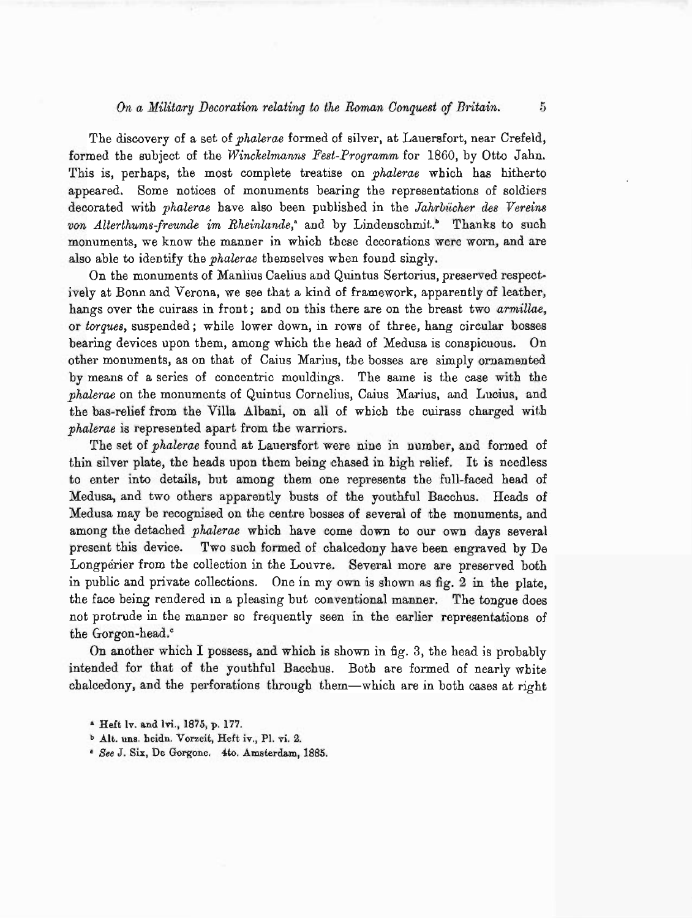#### *- On a Military Decoration relating to the Roman Conquest of Britain.*

The discovery of a set of *phalerae* formed of silver, at Lauersfort, near Crefeld, formed the subject of the *Winckelmanns Fest-Programm* for 1860, by Otto Jahn. This is, perhaps, the most complete treatise on *phalerae* which has hitherto appeared. Some notices of monuments bearing the representations of soldiers decorated with *phalerae* have also been published in the *Jahrbiicher des Vereins*  von Alterthums-freunde im Rheinlande,<sup>\*</sup> and by Lindenschmit.<sup>b</sup> Thanks to such monuments, we know the manner in which these decorations were worn, and are also able to identify the *phalerae* themselves when found singly.

On the monuments of Manlius Caelius and Quintus Sertorius, preserved respectively at Bonn and Yerona, we see that a kind of framework, apparently of leather, hangs over the cuirass in front; and on this there are on the breast two *armillae,*  or *torques,* suspended; while lower down, in rows of three, hang circular bosses bearing devices upon them, among which the head of Medusa is conspicuous. On other monuments, as on that of Caius Marius, the bosses are simply ornamented by means of a series of concentric mouldings. The same is the case with the *phalerae* on the monuments of Quintus Cornelius, Caius Marius, and Lucius, and the bas-relief from the Villa Albani, on all of which the cuirass charged with *phalerae* is represented apart from the warriors.

The set of *phalerae* found at Lauersfort were nine in number, and formed of thin silver plate, the heads upon them being chased in high relief. It is needless to enter into details, but among them one represents the full-faced head of Medusa, and two others apparently busts of the youthful Bacchus. Heads of Medusa may be recognised on the centre bosses of several of the monuments, and among the detached *phalerae* which have come down to our own days several present this device. Two such formed of chalcedony have been engraved by De Longperier from the collection in the Louvre. Several more are preserved both in public and private collections. One in my own is shown as fig. 2 in the plate, the face being rendered in a pleasing but conventional manner. The tongue does not protrude in the manner so frequently seen in the earlier representations of the Gorgon-head.<sup>c</sup>

On another which I possess, and which is shown in fig. 3, the head is probably intended for that of the youthful Bacchus. Both are formed of nearly white chalcedony, and the perforations through them—which are in both cases at right

5

<sup>»</sup> Heft lv. and lvi., 1875, p. 177.

b Alt. uns. heidn. Vorzeit, Heft iv., PL vi. 2.

*c See* J. Six, De Gorgone. 4to. Amsterdam, 1885.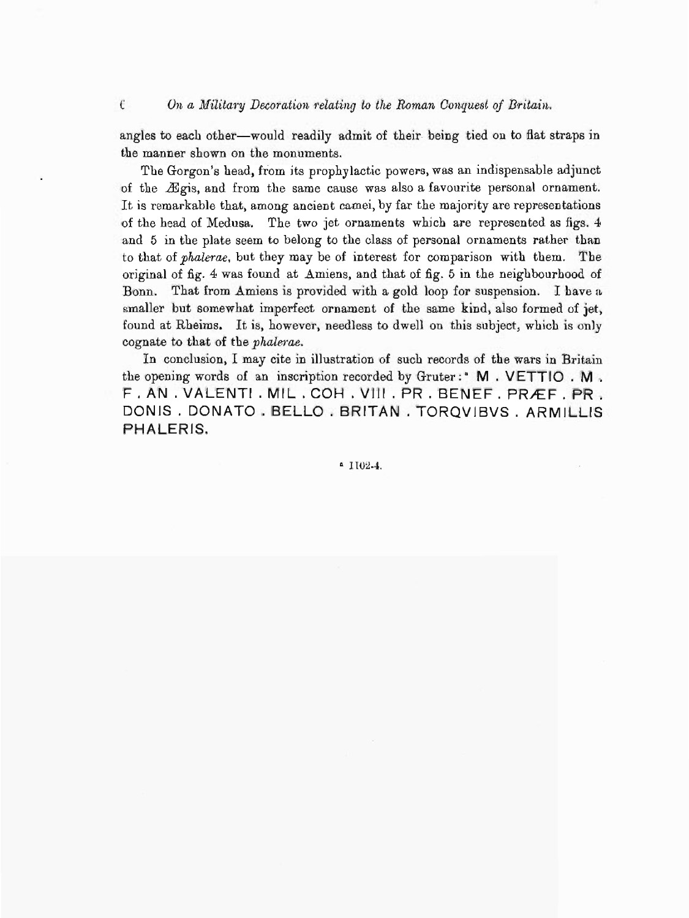#### *- On a Military Decoration relating to the Roman Conquest of Britain.*

angles to eacli other—would readily admit of their being tied on to flat straps in the manner shown on the monuments.

The Gorgon's head, from its prophylactic powers, was an indispensable adjunct of the  $E$ gis, and from the same cause was also a favourite personal ornament. It is remarkable that, among ancient camei, by far the majority are representations of the head of Medusa. The two jet ornaments which are represented as figs. 4 and 5 in the plate seem to belong to the class of personal ornaments rather than to that of *johalerae,* but they may be of interest for comparison with them. The original of fig. *4* was found at Amiens, and that of fig. 5 in the neighbourhood of Bonn. That from Amiens is provided with a gold loop for suspension. I have a smaller but somewhat imperfect ornament of the same kind, also formed of jet, found at Rheims. It is, however, needless to dwell on this subject, which is only cognate to that of the *phalerae.* 

In conclusion, I may cite in illustration of such records of the wars in Britain the opening words of an inscription recorded by Gruter:  $^*$  M. VETTIO. M. **F . AN . VALENT I . MI L . CO H . VII I . PR . BENE F . PR/E F . PR .**  DONIS . DONATO . BELLO . BRITAN . TORQVIBVS . ARMILLIS **PHALERIS .** 

a 1102-4,